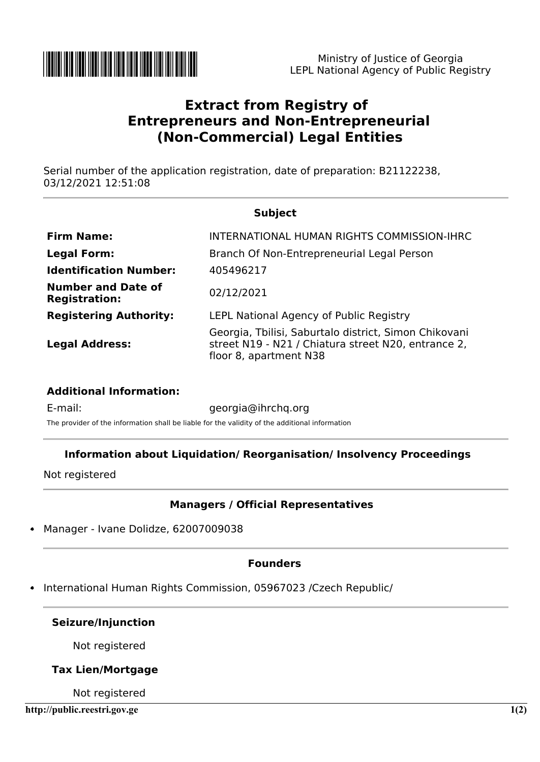

# **Extract from Registry of Entrepreneurs and Non-Entrepreneurial (Non-Commercial) Legal Entities**

Serial number of the application registration, date of preparation: B21122238, 03/12/2021 12:51:08

| <b>Subject</b>                                    |                                                                                                                                        |
|---------------------------------------------------|----------------------------------------------------------------------------------------------------------------------------------------|
| <b>Firm Name:</b>                                 | INTERNATIONAL HUMAN RIGHTS COMMISSION-IHRC                                                                                             |
| <b>Legal Form:</b>                                | Branch Of Non-Entrepreneurial Legal Person                                                                                             |
| <b>Identification Number:</b>                     | 405496217                                                                                                                              |
| <b>Number and Date of</b><br><b>Registration:</b> | 02/12/2021                                                                                                                             |
| <b>Registering Authority:</b>                     | <b>LEPL National Agency of Public Registry</b>                                                                                         |
| <b>Legal Address:</b>                             | Georgia, Tbilisi, Saburtalo district, Simon Chikovani<br>street N19 - N21 / Chiatura street N20, entrance 2,<br>floor 8, apartment N38 |

#### **Additional Information:**

E-mail: georgia@ihrchq.org The provider of the information shall be liable for the validity of the additional information

# **Information about Liquidation/ Reorganisation/ Insolvency Proceedings**

Not registered

# **Managers / Official Representatives**

Manager - Ivane Dolidze, 62007009038

## **Founders**

International Human Rights Commission, 05967023 /Czech Republic/

#### **Seizure/Injunction**

Not registered

## **Tax Lien/Mortgage**

Not registered

**http://public.reestri.gov.ge 1(2)**